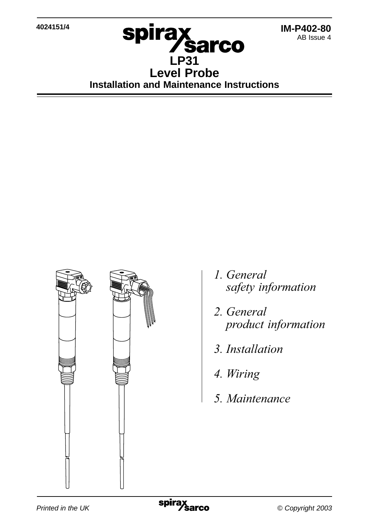**4024151/4**



# **LP31 Level Probe Installation and Maintenance Instructions**



- 1. General safety information
- 2. General
- 3. Installation
- 4. Wiring
- 5. Maintenance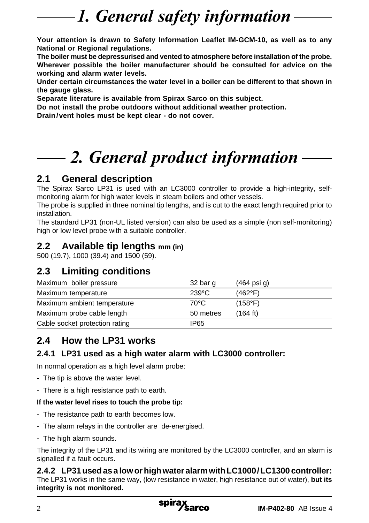# 1. General safety information

**Your attention is drawn to Safety Information Leaflet IM-GCM-10, as well as to any National or Regional regulations.**

**The boiler must be depressurised and vented to atmosphere before installation of the probe. Wherever possible the boiler manufacturer should be consulted for advice on the working and alarm water levels.**

**Under certain circumstances the water level in a boiler can be different to that shown in the gauge glass.**

**Separate literature is available from Spirax Sarco on this subject.**

**Do not install the probe outdoors without additional weather protection.**

**Drain/vent holes must be kept clear - do not cover.**

# 2. General product information

## **2.1 General description**

The Spirax Sarco LP31 is used with an LC3000 controller to provide a high-integrity, selfmonitoring alarm for high water levels in steam boilers and other vessels.

The probe is supplied in three nominal tip lengths, and is cut to the exact length required prior to installation.

The standard LP31 (non-UL listed version) can also be used as a simple (non self-monitoring) high or low level probe with a suitable controller.

### **2.2 Available tip lengths mm (in)**

500 (19.7), 1000 (39.4) and 1500 (59).

## **2.3 Limiting conditions**

| Maximum boiler pressure        | 32 bar g        | $(464 \text{ psi } q)$ |
|--------------------------------|-----------------|------------------------|
| Maximum temperature            | $239^{\circ}$ C | (462°F)                |
| Maximum ambient temperature    | $70^{\circ}$ C  | (158°F)                |
| Maximum probe cable length     | 50 metres       | (164 ft)               |
| Cable socket protection rating | IP65            |                        |
|                                |                 |                        |

## **2.4 How the LP31 works**

### **2.4.1 LP31 used as a high water alarm with LC3000 controller:**

In normal operation as a high level alarm probe:

- **-** The tip is above the water level.
- **-** There is a high resistance path to earth.

#### **If the water level rises to touch the probe tip:**

- **-** The resistance path to earth becomes low.
- **-** The alarm relays in the controller are de-energised.
- **-** The high alarm sounds.

The integrity of the LP31 and its wiring are monitored by the LC3000 controller, and an alarm is signalled if a fault occurs.

#### **2.4.2 LP31 used as a low or high water alarm with LC1000/LC1300 controller:** The LP31 works in the same way, (low resistance in water, high resistance out of water), **but its integrity is not monitored.**

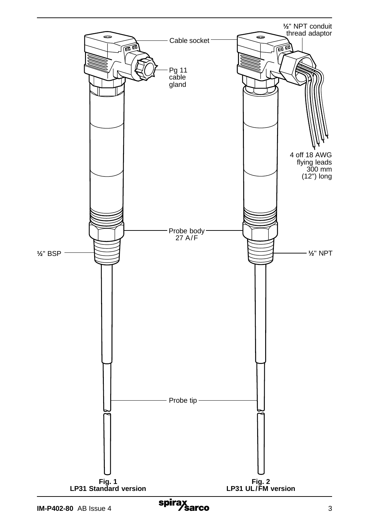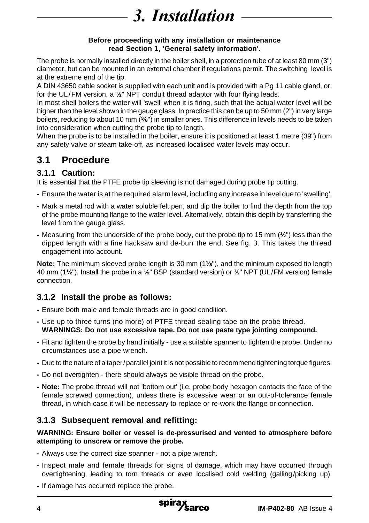## 3. Installation

#### **Before proceeding with any installation or maintenance read Section 1, 'General safety information'.**

The probe is normally installed directly in the boiler shell, in a protection tube of at least 80 mm (3") diameter, but can be mounted in an external chamber if regulations permit. The switching level is at the extreme end of the tip.

A DIN 43650 cable socket is supplied with each unit and is provided with a Pg 11 cable gland, or, for the UL/FM version, a **½**" NPT conduit thread adaptor with four flying leads.

In most shell boilers the water will 'swell' when it is firing, such that the actual water level will be higher than the level shown in the gauge glass. In practice this can be up to 50 mm (2") in very large boilers, reducing to about 10 mm ( $\frac{3}{8}$ ") in smaller ones. This difference in levels needs to be taken into consideration when cutting the probe tip to length.

When the probe is to be installed in the boiler, ensure it is positioned at least 1 metre (39") from any safety valve or steam take-off, as increased localised water levels may occur.

## **3.1 Procedure**

### **3.1.1 Caution:**

It is essential that the PTFE probe tip sleeving is not damaged during probe tip cutting.

- **-** Ensure the water is at the required alarm level, including any increase in level due to 'swelling'.
- **-** Mark a metal rod with a water soluble felt pen, and dip the boiler to find the depth from the top of the probe mounting flange to the water level. Alternatively, obtain this depth by transferring the level from the gauge glass.
- **-** Measuring from the underside of the probe body, cut the probe tip to 15 mm (**½**") less than the dipped length with a fine hacksaw and de-burr the end. See fig. 3. This takes the thread engagement into account.

Note: The minimum sleeved probe length is 30 mm (1<sup>1</sup>/<sub>8</sub>"), and the minimum exposed tip length 40 mm (1**½**"). Install the probe in a **½**" BSP (standard version) or **½**" NPT (UL/FM version) female connection.

### **3.1.2 Install the probe as follows:**

- **-** Ensure both male and female threads are in good condition.
- **-** Use up to three turns (no more) of PTFE thread sealing tape on the probe thread. **WARNINGS: Do not use excessive tape. Do not use paste type jointing compound.**
- **-** Fit and tighten the probe by hand initially use a suitable spanner to tighten the probe. Under no circumstances use a pipe wrench.
- **-** Due to the nature of a taper/parallel joint it is not possible to recommend tightening torque figures.
- **-** Do not overtighten there should always be visible thread on the probe.
- **Note:** The probe thread will not 'bottom out' (i.e. probe body hexagon contacts the face of the female screwed connection), unless there is excessive wear or an out-of-tolerance female thread, in which case it will be necessary to replace or re-work the flange or connection.

### **3.1.3 Subsequent removal and refitting:**

#### **WARNING: Ensure boiler or vessel is de-pressurised and vented to atmosphere before attempting to unscrew or remove the probe.**

- **-** Always use the correct size spanner not a pipe wrench.
- **-** Inspect male and female threads for signs of damage, which may have occurred through overtightening, leading to torn threads or even localised cold welding (galling/picking up).
- **-** If damage has occurred replace the probe.

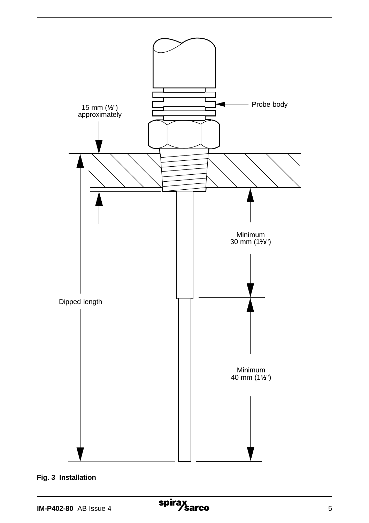

**Fig. 3 Installation**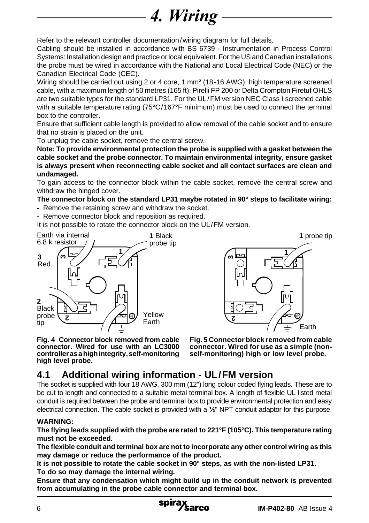# **4. Wiring**

Refer to the relevant controller documentation/wiring diagram for full details.

Cabling should be installed in accordance with BS 6739 - Instrumentation in Process Control Systems: Installation design and practice or local equivalent. For the US and Canadian installations the probe must be wired in accordance with the National and Local Electrical Code (NEC) or the Canadian Electrical Code (CEC).

Wiring should be carried out using 2 or 4 core, 1 mm**²** (18-16 AWG), high temperature screened cable, with a maximum length of 50 metres (165 ft). Pirelli FP 200 or Delta Crompton Firetuf OHLS are two suitable types for the standard LP31. For the UL/FM version NEC Class I screened cable with a suitable temperature rating (75**°**C/167**°**F minimum) must be used to connect the terminal box to the controller.

Ensure that sufficient cable length is provided to allow removal of the cable socket and to ensure that no strain is placed on the unit.

To unplug the cable socket, remove the central screw.

**Note: To provide environmental protection the probe is supplied with a gasket between the cable socket and the probe connector. To maintain environmental integrity, ensure gasket is always present when reconnecting cable socket and all contact surfaces are clean and undamaged.**

To gain access to the connector block within the cable socket, remove the central screw and withdraw the hinged cover.

#### **The connector block on the standard LP31 maybe rotated in 90° steps to facilitate wiring:**

- **-** Remove the retaining screw and withdraw the socket.
- **-** Remove connector block and reposition as required.

It is not possible to rotate the connector block on the UL/FM version.





**Fig. 4 Connector block removed from cable connector. Wired for use with an LC3000 controller as a high integrity, self-monitoring high level probe.**

**Fig. 5 Connector block removed from cable connector. Wired for use as a simple (nonself-monitoring) high or low level probe.**

## **4.1 Additional wiring information - UL/FM version**

The socket is supplied with four 18 AWG, 300 mm (12") long colour coded flying leads. These are to be cut to length and connected to a suitable metal terminal box. A length of flexible UL listed metal conduit is required between the probe and terminal box to provide environmental protection and easy electrical connection. The cable socket is provided with a **½**" NPT conduit adaptor for this purpose.

#### **WARNING:**

**The flying leads supplied with the probe are rated to 221°F (105°C). This temperature rating must not be exceeded.**

**The flexible conduit and terminal box are not to incorporate any other control wiring as this may damage or reduce the performance of the product.**

**It is not possible to rotate the cable socket in 90° steps, as with the non-listed LP31. To do so may damage the internal wiring.**

**Ensure that any condensation which might build up in the conduit network is prevented from accumulating in the probe cable connector and terminal box.**

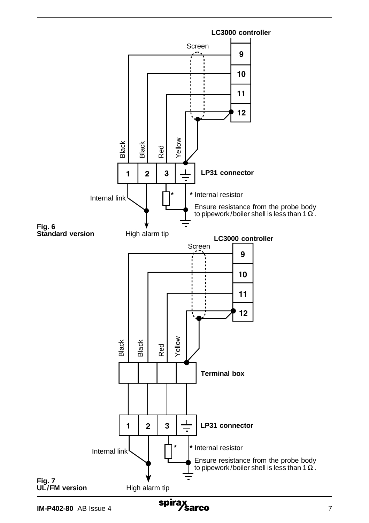